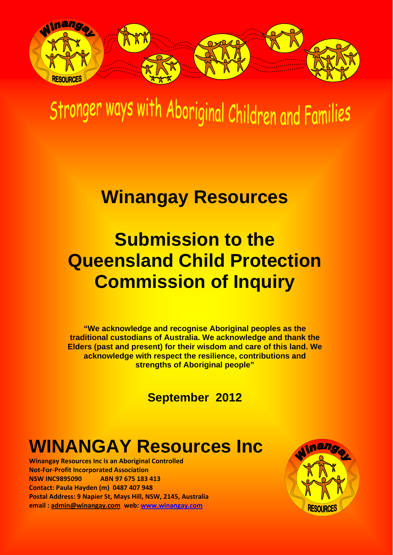

# Stronger ways with Aboriginal Children and Families

## **Winangay Resources**

# **Submission to the Queensland Child Protection Commission of Inquiry**

**"We acknowledge and recognise Aboriginal peoples as the traditional custodians of Australia. We acknowledge and thank the Elders (past and present) for their wisdom and care of this land. We acknowledge with respect the resilience, contributions and strengths of Aboriginal people"** 

**September 2012** 

## **WINANGAY Resources Inc**

**Winangay Resources Inc is an Aboriginal Controlled Not‐For‐Profit Incorporated Association NSW INC9895090 ABN 97 675 183 413 Contact: Paula Hayden (m) 0487 407 948** **Postal Address: 9 Napier St, Mays Hill, NSW, 2145, Australia**   **email : [admin@winangay.com](mailto:admin@winangay.com) web: [www.winangay.com](http://www.winangay.com/)**

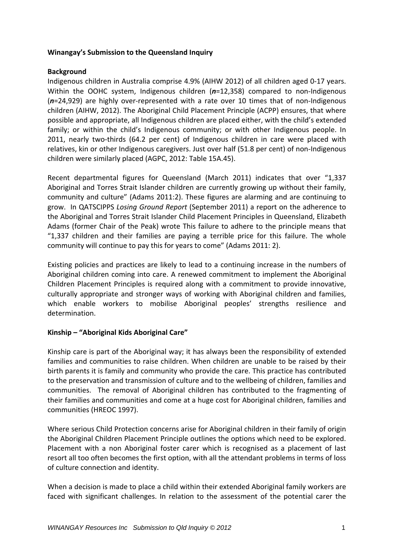#### **Winangay's Submission to the Queensland Inquiry**

#### **Background**

Indigenous children in Australia comprise 4.9% (AIHW 2012) of all children aged 0‐17 years. Within the OOHC system, Indigenous children (n=12,358) compared to non-Indigenous (*n*=24,929) are highly over‐represented with a rate over 10 times that of non‐Indigenous children (AIHW, 2012). The Aboriginal Child Placement Principle (ACPP) ensures, that where possible and appropriate, all Indigenous children are placed either, with the child's extended family; or within the child's Indigenous community; or with other Indigenous people. In 2011, nearly two-thirds (64.2 per cent) of Indigenous children in care were placed with relatives, kin or other Indigenous caregivers. Just over half (51.8 per cent) of non-Indigenous children were similarly placed (AGPC, 2012: Table 15A.45).

Recent departmental figures for Queensland (March 2011) indicates that over "1,337 Aboriginal and Torres Strait Islander children are currently growing up without their family, community and culture" (Adams 2011:2). These figures are alarming and are continuing to grow. In QATSCIPPS *Losing Ground Report* (September 2011) a report on the adherence to the Aboriginal and Torres Strait Islander Child Placement Principles in Queensland, Elizabeth Adams (former Chair of the Peak) wrote This failure to adhere to the principle means that "1,337 children and their families are paying a terrible price for this failure. The whole community will continue to pay this for years to come" (Adams 2011: 2).

Existing policies and practices are likely to lead to a continuing increase in the numbers of Aboriginal children coming into care. A renewed commitment to implement the Aboriginal Children Placement Principles is required along with a commitment to provide innovative, culturally appropriate and stronger ways of working with Aboriginal children and families, which enable workers to mobilise Aboriginal peoples' strengths resilience and determination.

#### **Kinship – "Aboriginal Kids Aboriginal Care"**

Kinship care is part of the Aboriginal way; it has always been the responsibility of extended families and communities to raise children. When children are unable to be raised by their birth parents it is family and community who provide the care. This practice has contributed to the preservation and transmission of culture and to the wellbeing of children, families and communities. The removal of Aboriginal children has contributed to the fragmenting of their families and communities and come at a huge cost for Aboriginal children, families and communities (HREOC 1997).

Where serious Child Protection concerns arise for Aboriginal children in their family of origin the Aboriginal Children Placement Principle outlines the options which need to be explored. Placement with a non Aboriginal foster carer which is recognised as a placement of last resort all too often becomes the first option, with all the attendant problems in terms of loss of culture connection and identity.

When a decision is made to place a child within their extended Aboriginal family workers are faced with significant challenges. In relation to the assessment of the potential carer the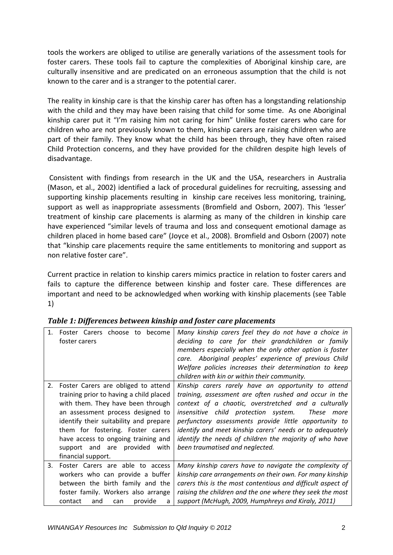tools the workers are obliged to utilise are generally variations of the assessment tools for foster carers. These tools fail to capture the complexities of Aboriginal kinship care, are culturally insensitive and are predicated on an erroneous assumption that the child is not known to the carer and is a stranger to the potential carer.

The reality in kinship care is that the kinship carer has often has a longstanding relationship with the child and they may have been raising that child for some time. As one Aboriginal kinship carer put it "I'm raising him not caring for him" Unlike foster carers who care for children who are not previously known to them, kinship carers are raising children who are part of their family. They know what the child has been through, they have often raised Child Protection concerns, and they have provided for the children despite high levels of disadvantage.

Consistent with findings from research in the UK and the USA, researchers in Australia (Mason, et al., 2002) identified a lack of procedural guidelines for recruiting, assessing and supporting kinship placements resulting in kinship care receives less monitoring, training, support as well as inappropriate assessments (Bromfield and Osborn, 2007). This 'lesser' treatment of kinship care placements is alarming as many of the children in kinship care have experienced "similar levels of trauma and loss and consequent emotional damage as children placed in home based care" (Joyce et al., 2008). Bromfield and Osborn (2007) note that "kinship care placements require the same entitlements to monitoring and support as non relative foster care".

Current practice in relation to kinship carers mimics practice in relation to foster carers and fails to capture the difference between kinship and foster care. These differences are important and need to be acknowledged when working with kinship placements (see Table 1)

|    | 1. Foster Carers choose to become<br>foster carers                           | Many kinship carers feel they do not have a choice in<br>deciding to care for their grandchildren or family<br>members especially when the only other option is foster<br>care. Aboriginal peoples' experience of previous Child<br>Welfare policies increases their determination to keep<br>children with kin or within their community. |
|----|------------------------------------------------------------------------------|--------------------------------------------------------------------------------------------------------------------------------------------------------------------------------------------------------------------------------------------------------------------------------------------------------------------------------------------|
|    | 2. Foster Carers are obliged to attend                                       | Kinship carers rarely have an opportunity to attend                                                                                                                                                                                                                                                                                        |
|    | training prior to having a child placed<br>with them. They have been through | training, assessment are often rushed and occur in the<br>context of a chaotic, overstretched and a culturally                                                                                                                                                                                                                             |
|    | an assessment process designed to                                            | insensitive child protection system.<br>These more                                                                                                                                                                                                                                                                                         |
|    | identify their suitability and prepare                                       | perfunctory assessments provide little opportunity to                                                                                                                                                                                                                                                                                      |
|    | them for fostering. Foster carers                                            | identify and meet kinship carers' needs or to adequately                                                                                                                                                                                                                                                                                   |
|    | have access to ongoing training and                                          | identify the needs of children the majority of who have                                                                                                                                                                                                                                                                                    |
|    | support and are provided with                                                | been traumatised and neglected.                                                                                                                                                                                                                                                                                                            |
|    | financial support.                                                           |                                                                                                                                                                                                                                                                                                                                            |
| 3. | Foster Carers are able to access                                             | Many kinship carers have to navigate the complexity of                                                                                                                                                                                                                                                                                     |
|    | workers who can provide a buffer                                             | kinship care arrangements on their own. For many kinship                                                                                                                                                                                                                                                                                   |
|    | between the birth family and the                                             | carers this is the most contentious and difficult aspect of                                                                                                                                                                                                                                                                                |
|    | foster family. Workers also arrange                                          | raising the children and the one where they seek the most                                                                                                                                                                                                                                                                                  |
|    | contact<br>provide<br>and<br>can<br>a                                        | support (McHugh, 2009, Humphreys and Kiraly, 2011)                                                                                                                                                                                                                                                                                         |

*Table 1: Differences between kinship and foster care placements*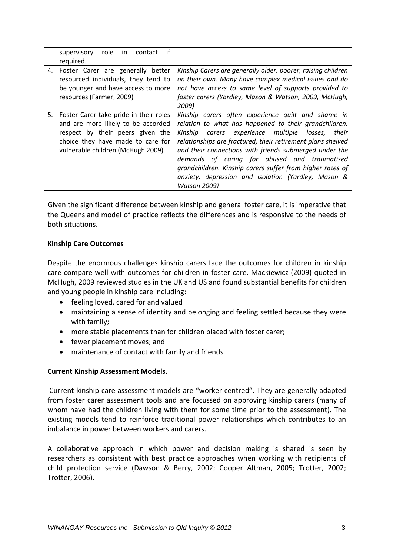| if<br>role<br>supervisory<br>contact<br>in.<br>required.                                                                                                                                      |                                                                                                                                                                                                                                                                                                                                                                                                                                                                                       |
|-----------------------------------------------------------------------------------------------------------------------------------------------------------------------------------------------|---------------------------------------------------------------------------------------------------------------------------------------------------------------------------------------------------------------------------------------------------------------------------------------------------------------------------------------------------------------------------------------------------------------------------------------------------------------------------------------|
| 4. Foster Carer are generally better<br>resourced individuals, they tend to<br>be younger and have access to more<br>resources (Farmer, 2009)                                                 | Kinship Carers are generally older, poorer, raising children<br>on their own. Many have complex medical issues and do<br>not have access to same level of supports provided to<br>foster carers (Yardley, Mason & Watson, 2009, McHugh,<br>2009)                                                                                                                                                                                                                                      |
| 5. Foster Carer take pride in their roles<br>and are more likely to be accorded<br>respect by their peers given the<br>choice they have made to care for<br>vulnerable children (McHugh 2009) | Kinship carers often experience quilt and shame in<br>relation to what has happened to their grandchildren.<br>carers experience multiple<br>Kinship<br>losses,<br>their<br>relationships are fractured, their retirement plans shelved<br>and their connections with friends submerged under the<br>demands of caring for abused and traumatised<br>grandchildren. Kinship carers suffer from higher rates of<br>anxiety, depression and isolation (Yardley, Mason &<br>Watson 2009) |

Given the significant difference between kinship and general foster care, it is imperative that the Queensland model of practice reflects the differences and is responsive to the needs of both situations.

#### **Kinship Care Outcomes**

Despite the enormous challenges kinship carers face the outcomes for children in kinship care compare well with outcomes for children in foster care. Mackiewicz (2009) quoted in McHugh, 2009 reviewed studies in the UK and US and found substantial benefits for children and young people in kinship care including:

- feeling loved, cared for and valued
- maintaining a sense of identity and belonging and feeling settled because they were with family;
- more stable placements than for children placed with foster carer;
- fewer placement moves; and
- maintenance of contact with family and friends

#### **Current Kinship Assessment Models.**

Current kinship care assessment models are "worker centred". They are generally adapted from foster carer assessment tools and are focussed on approving kinship carers (many of whom have had the children living with them for some time prior to the assessment). The existing models tend to reinforce traditional power relationships which contributes to an imbalance in power between workers and carers.

A collaborative approach in which power and decision making is shared is seen by researchers as consistent with best practice approaches when working with recipients of child protection service (Dawson & Berry, 2002; Cooper Altman, 2005; Trotter, 2002; Trotter, 2006).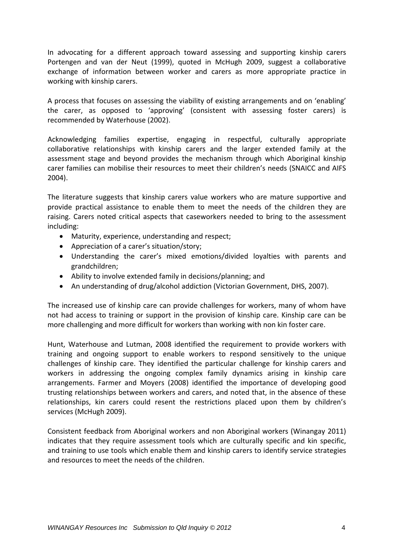In advocating for a different approach toward assessing and supporting kinship carers Portengen and van der Neut (1999), quoted in McHugh 2009, suggest a collaborative exchange of information between worker and carers as more appropriate practice in working with kinship carers.

A process that focuses on assessing the viability of existing arrangements and on 'enabling' the carer, as opposed to 'approving' (consistent with assessing foster carers) is recommended by Waterhouse (2002).

Acknowledging families expertise, engaging in respectful, culturally appropriate collaborative relationships with kinship carers and the larger extended family at the assessment stage and beyond provides the mechanism through which Aboriginal kinship carer families can mobilise their resources to meet their children's needs (SNAICC and AIFS 2004).

The literature suggests that kinship carers value workers who are mature supportive and provide practical assistance to enable them to meet the needs of the children they are raising. Carers noted critical aspects that caseworkers needed to bring to the assessment including:

- Maturity, experience, understanding and respect;
- Appreciation of a carer's situation/story;
- Understanding the carer's mixed emotions/divided loyalties with parents and grandchildren;
- Ability to involve extended family in decisions/planning; and
- An understanding of drug/alcohol addiction (Victorian Government, DHS, 2007).

The increased use of kinship care can provide challenges for workers, many of whom have not had access to training or support in the provision of kinship care. Kinship care can be more challenging and more difficult for workers than working with non kin foster care.

Hunt, Waterhouse and Lutman, 2008 identified the requirement to provide workers with training and ongoing support to enable workers to respond sensitively to the unique challenges of kinship care. They identified the particular challenge for kinship carers and workers in addressing the ongoing complex family dynamics arising in kinship care arrangements. Farmer and Moyers (2008) identified the importance of developing good trusting relationships between workers and carers, and noted that, in the absence of these relationships, kin carers could resent the restrictions placed upon them by children's services (McHugh 2009).

Consistent feedback from Aboriginal workers and non Aboriginal workers (Winangay 2011) indicates that they require assessment tools which are culturally specific and kin specific, and training to use tools which enable them and kinship carers to identify service strategies and resources to meet the needs of the children.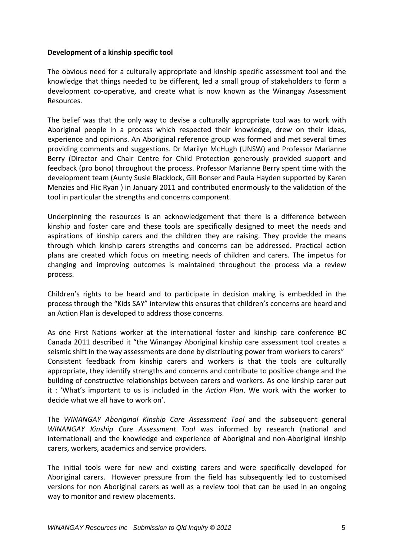#### **Development of a kinship specific tool**

The obvious need for a culturally appropriate and kinship specific assessment tool and the knowledge that things needed to be different, led a small group of stakeholders to form a development co‐operative, and create what is now known as the Winangay Assessment Resources.

The belief was that the only way to devise a culturally appropriate tool was to work with Aboriginal people in a process which respected their knowledge, drew on their ideas, experience and opinions. An Aboriginal reference group was formed and met several times providing comments and suggestions. Dr Marilyn McHugh (UNSW) and Professor Marianne Berry (Director and Chair Centre for Child Protection generously provided support and feedback (pro bono) throughout the process. Professor Marianne Berry spent time with the development team (Aunty Susie Blacklock, Gill Bonser and Paula Hayden supported by Karen Menzies and Flic Ryan ) in January 2011 and contributed enormously to the validation of the tool in particular the strengths and concerns component.

Underpinning the resources is an acknowledgement that there is a difference between kinship and foster care and these tools are specifically designed to meet the needs and aspirations of kinship carers and the children they are raising. They provide the means through which kinship carers strengths and concerns can be addressed. Practical action plans are created which focus on meeting needs of children and carers. The impetus for changing and improving outcomes is maintained throughout the process via a review process.

Children's rights to be heard and to participate in decision making is embedded in the process through the "Kids SAY" interview this ensures that children's concerns are heard and an Action Plan is developed to address those concerns.

As one First Nations worker at the international foster and kinship care conference BC Canada 2011 described it "the Winangay Aboriginal kinship care assessment tool creates a seismic shift in the way assessments are done by distributing power from workers to carers" Consistent feedback from kinship carers and workers is that the tools are culturally appropriate, they identify strengths and concerns and contribute to positive change and the building of constructive relationships between carers and workers. As one kinship carer put it : 'What's important to us is included in the *Action Plan*. We work with the worker to decide what we all have to work on'.

The *WINANGAY Aboriginal Kinship Care Assessment Tool* and the subsequent general *WINANGAY Kinship Care Assessment Tool* was informed by research (national and international) and the knowledge and experience of Aboriginal and non‐Aboriginal kinship carers, workers, academics and service providers.

The initial tools were for new and existing carers and were specifically developed for Aboriginal carers. However pressure from the field has subsequently led to customised versions for non Aboriginal carers as well as a review tool that can be used in an ongoing way to monitor and review placements.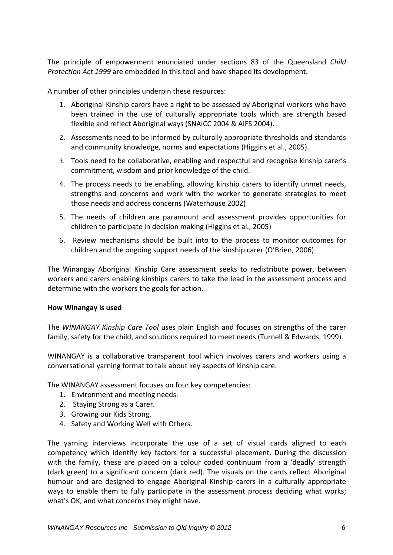The principle of empowerment enunciated under sections 83 of the Queensland *Child Protection Act 1999* are embedded in this tool and have shaped its development.

A number of other principles underpin these resources:

- 1. Aboriginal Kinship carers have a right to be assessed by Aboriginal workers who have been trained in the use of culturally appropriate tools which are strength based flexible and reflect Aboriginal ways (SNAICC 2004 & AIFS 2004).
- 2. Assessments need to be informed by culturally appropriate thresholds and standards and community knowledge, norms and expectations (Higgins et al., 2005).
- 3. Tools need to be collaborative, enabling and respectful and recognise kinship carer's commitment, wisdom and prior knowledge of the child.
- 4. The process needs to be enabling, allowing kinship carers to identify unmet needs, strengths and concerns and work with the worker to generate strategies to meet those needs and address concerns (Waterhouse 2002)
- 5. The needs of children are paramount and assessment provides opportunities for children to participate in decision making (Higgins et al., 2005)
- 6. Review mechanisms should be built into to the process to monitor outcomes for children and the ongoing support needs of the kinship carer (O'Brien, 2006)

The Winangay Aboriginal Kinship Care assessment seeks to redistribute power, between workers and carers enabling kinships carers to take the lead in the assessment process and determine with the workers the goals for action.

#### **How Winangay is used**

The *WINANGAY Kinship Care Tool* uses plain English and focuses on strengths of the carer family, safety for the child, and solutions required to meet needs (Turnell & Edwards, 1999).

WINANGAY is a collaborative transparent tool which involves carers and workers using a conversational yarning format to talk about key aspects of kinship care.

The WINANGAY assessment focuses on four key competencies:

- 1. Environment and meeting needs.
- 2. Staying Strong as a Carer.
- 3. Growing our Kids Strong.
- 4. Safety and Working Well with Others.

The yarning interviews incorporate the use of a set of visual cards aligned to each competency which identify key factors for a successful placement. During the discussion with the family, these are placed on a colour coded continuum from a 'deadly' strength (dark green) to a significant concern (dark red). The visuals on the cards reflect Aboriginal humour and are designed to engage Aboriginal Kinship carers in a culturally appropriate ways to enable them to fully participate in the assessment process deciding what works; what's OK, and what concerns they might have.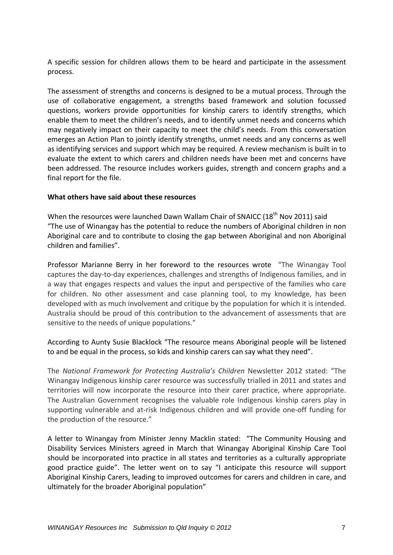A specific session for children allows them to be heard and participate in the assessment process.

The assessment of strengths and concerns is designed to be a mutual process. Through the use of collaborative engagement, a strengths based framework and solution focussed questions, workers provide opportunities for kinship carers to identify strengths, which enable them to meet the children's needs, and to identify unmet needs and concerns which may negatively impact on their capacity to meet the child's needs. From this conversation emerges an Action Plan to jointly identify strengths, unmet needs and any concerns as well as identifying services and support which may be required. A review mechanism is built in to evaluate the extent to which carers and children needs have been met and concerns have been addressed. The resource includes workers guides, strength and concern graphs and a final report for the file.

#### **What others have said about these resources**

When the resources were launched Dawn Wallam Chair of SNAICC (18<sup>th</sup> Nov 2011) said "The use of Winangay has the potential to reduce the numbers of Aboriginal children in non Aboriginal care and to contribute to closing the gap between Aboriginal and non Aboriginal children and families".

Professor Marianne Berry in her foreword to the resources wrote "The Winangay Tool captures the day‐to‐day experiences, challenges and strengths of Indigenous families, and in a way that engages respects and values the input and perspective of the families who care for children. No other assessment and case planning tool, to my knowledge, has been developed with as much involvement and critique by the population for which it is intended. Australia should be proud of this contribution to the advancement of assessments that are sensitive to the needs of unique populations."

#### According to Aunty Susie Blacklock "The resource means Aboriginal people will be listened to and be equal in the process, so kids and kinship carers can say what they need".

The *National Framework for Protecting Australia's Children* Newsletter 2012 stated: "The Winangay Indigenous kinship carer resource was successfully trialled in 2011 and states and territories will now incorporate the resource into their carer practice, where appropriate. The Australian Government recognises the valuable role Indigenous kinship carers play in supporting vulnerable and at-risk Indigenous children and will provide one-off funding for the production of the resource."

A letter to Winangay from Minister Jenny Macklin stated: "The Community Housing and Disability Services Ministers agreed in March that Winangay Aboriginal Kinship Care Tool should be incorporated into practice in all states and territories as a culturally appropriate good practice guide". The letter went on to say "I anticipate this resource will support Aboriginal Kinship Carers, leading to improved outcomes for carers and children in care, and ultimately for the broader Aboriginal population"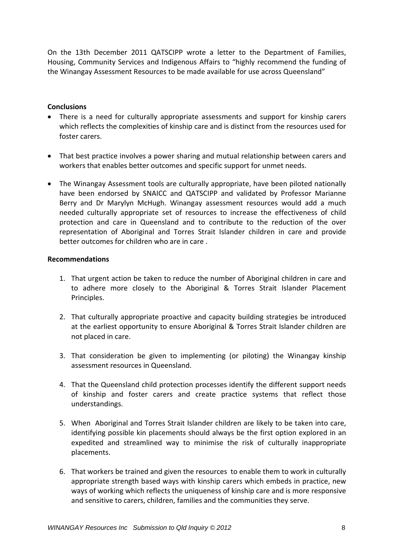On the 13th December 2011 QATSCIPP wrote a letter to the Department of Families, Housing, Community Services and Indigenous Affairs to "highly recommend the funding of the Winangay Assessment Resources to be made available for use across Queensland"

#### **Conclusions**

- There is a need for culturally appropriate assessments and support for kinship carers which reflects the complexities of kinship care and is distinct from the resources used for foster carers.
- That best practice involves a power sharing and mutual relationship between carers and workers that enables better outcomes and specific support for unmet needs.
- The Winangay Assessment tools are culturally appropriate, have been piloted nationally have been endorsed by SNAICC and QATSCIPP and validated by Professor Marianne Berry and Dr Marylyn McHugh. Winangay assessment resources would add a much needed culturally appropriate set of resources to increase the effectiveness of child protection and care in Queensland and to contribute to the reduction of the over representation of Aboriginal and Torres Strait Islander children in care and provide better outcomes for children who are in care .

#### **Recommendations**

- 1. That urgent action be taken to reduce the number of Aboriginal children in care and to adhere more closely to the Aboriginal & Torres Strait Islander Placement Principles.
- 2. That culturally appropriate proactive and capacity building strategies be introduced at the earliest opportunity to ensure Aboriginal & Torres Strait Islander children are not placed in care.
- 3. That consideration be given to implementing (or piloting) the Winangay kinship assessment resources in Queensland.
- 4. That the Queensland child protection processes identify the different support needs of kinship and foster carers and create practice systems that reflect those understandings.
- 5. When Aboriginal and Torres Strait Islander children are likely to be taken into care, identifying possible kin placements should always be the first option explored in an expedited and streamlined way to minimise the risk of culturally inappropriate placements.
- 6. That workers be trained and given the resources to enable them to work in culturally appropriate strength based ways with kinship carers which embeds in practice, new ways of working which reflects the uniqueness of kinship care and is more responsive and sensitive to carers, children, families and the communities they serve.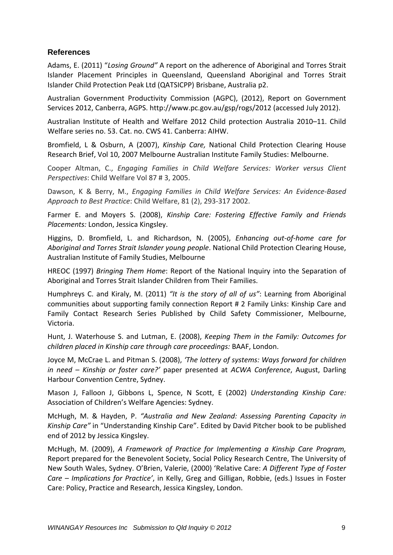#### **References**

Adams, E. (2011) "*Losing Ground"* A report on the adherence of Aboriginal and Torres Strait Islander Placement Principles in Queensland, Queensland Aboriginal and Torres Strait Islander Child Protection Peak Ltd (QATSICPP) Brisbane, Australia p2.

Australian Government Productivity Commission (AGPC), (2012), Report on Government Services 2012, Canberra, AGPS. http://www.pc.gov.au/gsp/rogs/2012 (accessed July 2012).

Australian Institute of Health and Welfare 2012 Child protection Australia 2010–11. Child Welfare series no. 53. Cat. no. CWS 41. Canberra: AIHW.

Bromfield, L & Osburn, A (2007), *Kinship Care,* National Child Protection Clearing House Research Brief, Vol 10, 2007 Melbourne Australian Institute Family Studies: Melbourne.

Cooper Altman, C., *Engaging Families in Child Welfare Services: Worker versus Client Perspectives*: Child Welfare Vol 87 # 3, 2005.

Dawson, K & Berry, M., *Engaging Families in Child Welfare Services: An Evidence‐Based Approach to Best Practice*: Child Welfare, 81 (2), 293‐317 2002.

Farmer E. and Moyers S. (2008), *Kinship Care: Fostering Effective Family and Friends Placements:* London, Jessica Kingsley.

Higgins, D. Bromfield, L. and Richardson, N. (2005), *Enhancing out‐of‐home care for Aboriginal and Torres Strait Islander young people*. National Child Protection Clearing House, Australian Institute of Family Studies, Melbourne

HREOC (1997) *Bringing Them Home*: Report of the National Inquiry into the Separation of Aboriginal and Torres Strait Islander Children from Their Families.

Humphreys C. and Kiraly, M. (2011) *"It is the story of all of us"*: Learning from Aboriginal communities about supporting family connection Report # 2 Family Links: Kinship Care and Family Contact Research Series Published by Child Safety Commissioner, Melbourne, Victoria.

Hunt, J. Waterhouse S. and Lutman, E. (2008), *Keeping Them in the Family: Outcomes for children placed in Kinship care through care proceedings:* BAAF, London.

Joyce M, McCrae L. and Pitman S. (2008), *'The lottery of systems: Ways forward for children in need – Kinship or foster care?'* paper presented at *ACWA Conference*, August, Darling Harbour Convention Centre, Sydney.

Mason J, Falloon J, Gibbons L, Spence, N Scott, E (2002) *Understanding Kinship Care:* Association of Children's Welfare Agencies: Sydney.

McHugh, M. & Hayden, P. *"Australia and New Zealand: Assessing Parenting Capacity in Kinship Care"* in "Understanding Kinship Care". Edited by David Pitcher book to be published end of 2012 by Jessica Kingsley.

McHugh, M. (2009), *A Framework of Practice for Implementing a Kinship Care Program,* Report prepared for the Benevolent Society, Social Policy Research Centre, The University of New South Wales, Sydney. O'Brien, Valerie, (2000) 'Relative Care: *A Different Type of Foster Care – Implications for Practice'*, in Kelly, Greg and Gilligan, Robbie, (eds.) Issues in Foster Care: Policy, Practice and Research, Jessica Kingsley, London.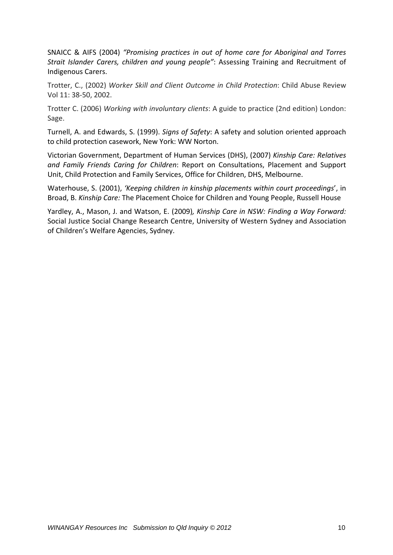SNAICC & AIFS (2004) *"Promising practices in out of home care for Aboriginal and Torres Strait Islander Carers, children and young people"*: Assessing Training and Recruitment of Indigenous Carers.

Trotter, C., (2002) *Worker Skill and Client Outcome in Child Protection*: Child Abuse Review Vol 11: 38‐50, 2002.

Trotter C. (2006) *Working with involuntary clients*: A guide to practice (2nd edition) London: Sage.

Turnell, A. and Edwards, S. (1999). *Signs of Safety*: A safety and solution oriented approach to child protection casework, New York: WW Norton.

Victorian Government, Department of Human Services (DHS), (2007) *Kinship Care: Relatives and Family Friends Caring for Children*: Report on Consultations, Placement and Support Unit, Child Protection and Family Services, Office for Children, DHS, Melbourne.

Waterhouse, S. (2001), *'Keeping children in kinship placements within court proceedings*', in Broad, B. *Kinship Care:* The Placement Choice for Children and Young People, Russell House

Yardley, A., Mason, J. and Watson, E. (2009)*, Kinship Care in NSW: Finding a Way Forward:* Social Justice Social Change Research Centre, University of Western Sydney and Association of Children's Welfare Agencies, Sydney.